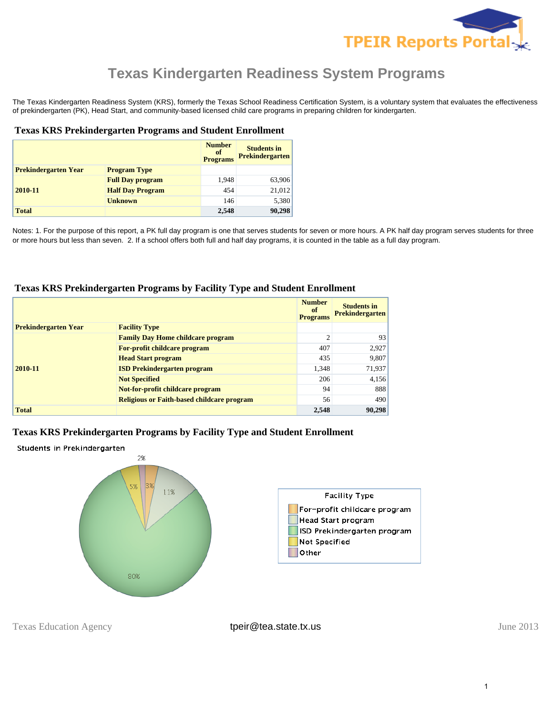

The Texas Kindergarten Readiness System (KRS), formerly the Texas School Readiness Certification System, is a voluntary system that evaluates the effectiveness of prekindergarten (PK), Head Start, and community-based licensed child care programs in preparing children for kindergarten.

#### **Texas KRS Prekindergarten Programs and Student Enrollment**

|                             |                         | <b>Number</b><br>of<br><b>Programs</b> | <b>Students in</b><br><b>Prekindergarten</b> |
|-----------------------------|-------------------------|----------------------------------------|----------------------------------------------|
| <b>Prekindergarten Year</b> | <b>Program Type</b>     |                                        |                                              |
|                             | <b>Full Day program</b> | 1,948                                  | 63,906                                       |
| 2010-11                     | <b>Half Day Program</b> | 454                                    | 21,012                                       |
|                             | <b>Unknown</b>          | 146                                    | 5,380                                        |
| <b>Total</b>                |                         | 2,548                                  | 90,298                                       |

Notes: 1. For the purpose of this report, a PK full day program is one that serves students for seven or more hours. A PK half day program serves students for three or more hours but less than seven. 2. If a school offers both full and half day programs, it is counted in the table as a full day program.

#### **Texas KRS Prekindergarten Programs by Facility Type and Student Enrollment**

|                             |                                                   | <b>Number</b><br><sub>of</sub><br><b>Programs</b> | <b>Students in</b><br><b>Prekindergarten</b> |
|-----------------------------|---------------------------------------------------|---------------------------------------------------|----------------------------------------------|
| <b>Prekindergarten Year</b> | <b>Facility Type</b>                              |                                                   |                                              |
|                             | <b>Family Day Home childcare program</b>          | $\overline{2}$                                    | 93                                           |
|                             | For-profit childcare program                      | 407                                               | 2,927                                        |
|                             | <b>Head Start program</b>                         | 435                                               | 9,807                                        |
| 2010-11                     | <b>ISD Prekindergarten program</b>                | 1,348                                             | 71,937                                       |
|                             | <b>Not Specified</b>                              | 206                                               | 4,156                                        |
|                             | Not-for-profit childcare program                  | 94                                                | 888                                          |
|                             | <b>Religious or Faith-based childcare program</b> | 56                                                | 490                                          |
| <b>Total</b>                |                                                   | 2,548                                             | 90,298                                       |

## **Texas KRS Prekindergarten Programs by Facility Type and Student Enrollment**



Texas Education Agency **their@tea.state.tx.us** their their their their their their their their their their their their their their their their their their their their their their their their their their their their their t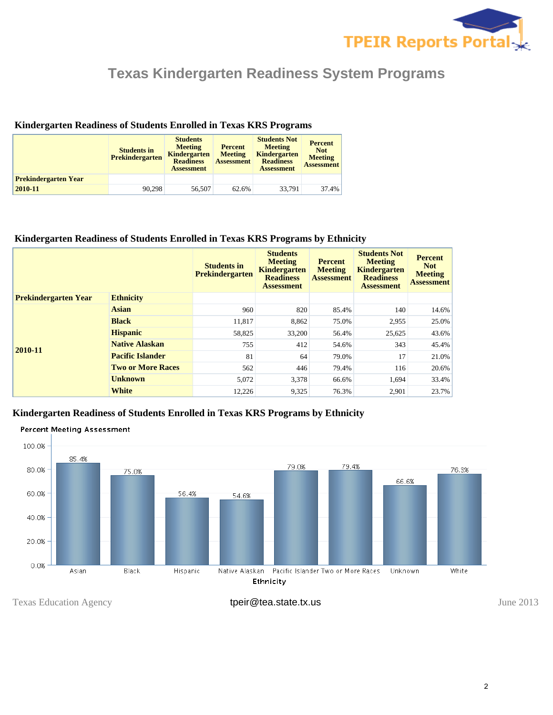

## **Kindergarten Readiness of Students Enrolled in Texas KRS Programs**

|                             | <b>Students in</b><br><b>Prekindergarten</b> | <b>Students</b><br><b>Meeting</b><br><b>Kindergarten</b><br><b>Readiness</b><br><b>Assessment</b> | <b>Percent</b><br><b>Meeting</b><br><b>Assessment</b> | <b>Students Not</b><br><b>Meeting</b><br><b>Kindergarten</b><br><b>Readiness</b><br><b>Assessment</b> | <b>Percent</b><br><b>Not</b><br><b>Meeting</b><br><b>Assessment</b> |
|-----------------------------|----------------------------------------------|---------------------------------------------------------------------------------------------------|-------------------------------------------------------|-------------------------------------------------------------------------------------------------------|---------------------------------------------------------------------|
| <b>Prekindergarten Year</b> |                                              |                                                                                                   |                                                       |                                                                                                       |                                                                     |
| 2010-11                     | 90.298                                       | 56,507                                                                                            | 62.6%                                                 | 33.791                                                                                                | 37.4%                                                               |

## **Kindergarten Readiness of Students Enrolled in Texas KRS Programs by Ethnicity**

|                             |                          | <b>Students in</b><br><b>Prekindergarten</b> | <b>Students</b><br><b>Meeting</b><br>Kindergarten<br><b>Readiness</b><br><b>Assessment</b> | <b>Percent</b><br><b>Meeting</b><br><b>Assessment</b> | <b>Students Not</b><br><b>Meeting</b><br><b>Kindergarten</b><br><b>Readiness</b><br><b>Assessment</b> | <b>Percent</b><br><b>Not</b><br><b>Meeting</b><br><b>Assessment</b> |
|-----------------------------|--------------------------|----------------------------------------------|--------------------------------------------------------------------------------------------|-------------------------------------------------------|-------------------------------------------------------------------------------------------------------|---------------------------------------------------------------------|
| <b>Prekindergarten Year</b> | <b>Ethnicity</b>         |                                              |                                                                                            |                                                       |                                                                                                       |                                                                     |
| 2010-11                     | <b>Asian</b>             | 960                                          | 820                                                                                        | 85.4%                                                 | 140                                                                                                   | 14.6%                                                               |
|                             | <b>Black</b>             | 11,817                                       | 8,862                                                                                      | 75.0%                                                 | 2,955                                                                                                 | 25.0%                                                               |
|                             | <b>Hispanic</b>          | 58,825                                       | 33,200                                                                                     | 56.4%                                                 | 25,625                                                                                                | 43.6%                                                               |
|                             | <b>Native Alaskan</b>    | 755                                          | 412                                                                                        | 54.6%                                                 | 343                                                                                                   | 45.4%                                                               |
|                             | <b>Pacific Islander</b>  | 81                                           | 64                                                                                         | 79.0%                                                 | 17                                                                                                    | 21.0%                                                               |
|                             | <b>Two or More Races</b> | 562                                          | 446                                                                                        | 79.4%                                                 | 116                                                                                                   | 20.6%                                                               |
|                             | <b>Unknown</b>           | 5,072                                        | 3,378                                                                                      | 66.6%                                                 | 1,694                                                                                                 | 33.4%                                                               |
|                             | <b>White</b>             | 12,226                                       | 9,325                                                                                      | 76.3%                                                 | 2,901                                                                                                 | 23.7%                                                               |

## **Kindergarten Readiness of Students Enrolled in Texas KRS Programs by Ethnicity**



Texas Education Agency **tpeir@tea.state.tx.us** their their of the state.tx.us June 2013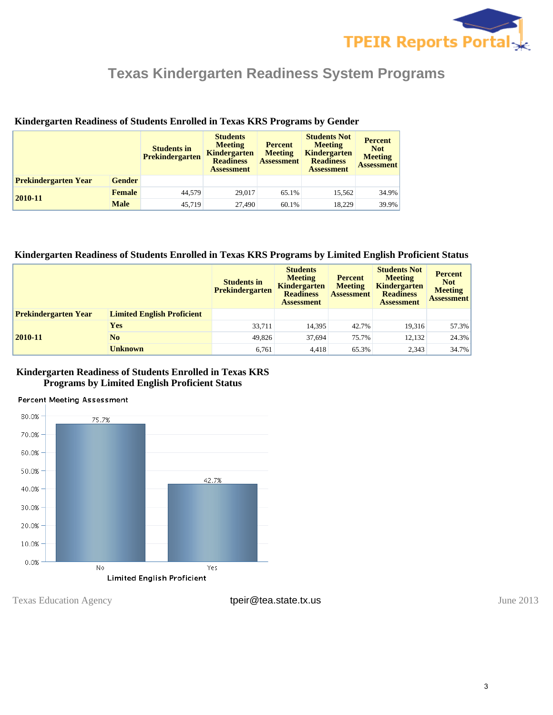

|                             |               | <b>Students in</b><br><b>Prekindergarten</b> | <b>Students</b><br><b>Meeting</b><br><b>Kindergarten</b><br><b>Readiness</b><br><b>Assessment</b> | <b>Percent</b><br><b>Meeting</b><br><b>Assessment</b> | <b>Students Not</b><br><b>Meeting</b><br><b>Kindergarten</b><br><b>Readiness</b><br><b>Assessment</b> | <b>Percent</b><br><b>Not</b><br><b>Meeting</b><br><b>Assessment</b> |
|-----------------------------|---------------|----------------------------------------------|---------------------------------------------------------------------------------------------------|-------------------------------------------------------|-------------------------------------------------------------------------------------------------------|---------------------------------------------------------------------|
| <b>Prekindergarten Year</b> | <b>Gender</b> |                                              |                                                                                                   |                                                       |                                                                                                       |                                                                     |
| 2010-11                     | <b>Female</b> | 44,579                                       | 29,017                                                                                            | 65.1%                                                 | 15,562                                                                                                | 34.9%                                                               |
|                             | <b>Male</b>   | 45.719                                       | 27,490                                                                                            | 60.1%                                                 | 18.229                                                                                                | 39.9%                                                               |

#### **Kindergarten Readiness of Students Enrolled in Texas KRS Programs by Gender**

#### **Kindergarten Readiness of Students Enrolled in Texas KRS Programs by Limited English Proficient Status**

|                             |                                   | <b>Students in</b><br>Prekindergarten | <b>Students</b><br><b>Meeting</b><br><b>Kindergarten</b><br><b>Readiness</b><br><b>Assessment</b> | <b>Percent</b><br><b>Meeting</b><br><b>Assessment</b> | <b>Students Not</b><br><b>Meeting</b><br><b>Kindergarten</b><br><b>Readiness</b><br>Assessment | <b>Percent</b><br><b>Not</b><br><b>Meeting</b><br><b>Assessment</b> |
|-----------------------------|-----------------------------------|---------------------------------------|---------------------------------------------------------------------------------------------------|-------------------------------------------------------|------------------------------------------------------------------------------------------------|---------------------------------------------------------------------|
| <b>Prekindergarten Year</b> | <b>Limited English Proficient</b> |                                       |                                                                                                   |                                                       |                                                                                                |                                                                     |
| 2010-11                     | Yes                               | 33.711                                | 14,395                                                                                            | 42.7%                                                 | 19,316                                                                                         | 57.3%                                                               |
|                             | N <sub>0</sub>                    | 49.826                                | 37.694                                                                                            | 75.7%                                                 | 12,132                                                                                         | 24.3%                                                               |
|                             | <b>Unknown</b>                    | 6,761                                 | 4.418                                                                                             | 65.3%                                                 | 2,343                                                                                          | 34.7%                                                               |

### **Kindergarten Readiness of Students Enrolled in Texas KRS Programs by Limited English Proficient Status**

#### **Percent Meeting Assessment**



Texas Education Agency **tpeir@tea.state.tx.us** their their of the state.tx.us June 2013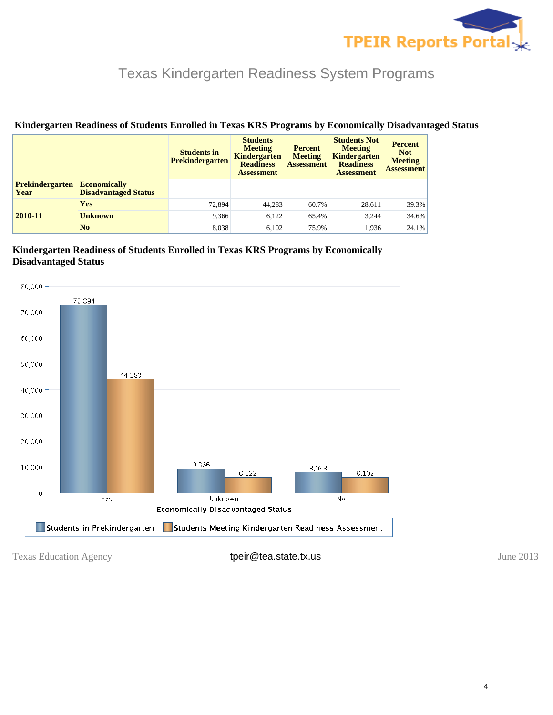

|                                |                                                    | <b>Students in</b><br><b>Prekindergarten</b> | <b>Students</b><br><b>Meeting</b><br><b>Kindergarten</b><br><b>Readiness</b><br><b>Assessment</b> | <b>Percent</b><br><b>Meeting</b><br><b>Assessment</b> | <b>Students Not</b><br><b>Meeting</b><br><b>Kindergarten</b><br><b>Readiness</b><br><b>Assessment</b> | <b>Percent</b><br><b>Not</b><br><b>Meeting</b><br><b>Assessment</b> |
|--------------------------------|----------------------------------------------------|----------------------------------------------|---------------------------------------------------------------------------------------------------|-------------------------------------------------------|-------------------------------------------------------------------------------------------------------|---------------------------------------------------------------------|
| <b>Prekindergarten</b><br>Year | <b>Economically</b><br><b>Disadvantaged Status</b> |                                              |                                                                                                   |                                                       |                                                                                                       |                                                                     |
|                                | <b>Yes</b>                                         | 72.894                                       | 44,283                                                                                            | 60.7%                                                 | 28,611                                                                                                | 39.3%                                                               |
| 2010-11                        | <b>Unknown</b>                                     | 9,366                                        | 6,122                                                                                             | 65.4%                                                 | 3.244                                                                                                 | 34.6%                                                               |
|                                | No                                                 | 8.038                                        | 6,102                                                                                             | 75.9%                                                 | 1.936                                                                                                 | 24.1%                                                               |

## **Kindergarten Readiness of Students Enrolled in Texas KRS Programs by Economically Disadvantaged Status**

## **Kindergarten Readiness of Students Enrolled in Texas KRS Programs by Economically Disadvantaged Status**



Texas Education Agency **tpeir@tea.state.tx.us** their their texas Education Agency of the 2013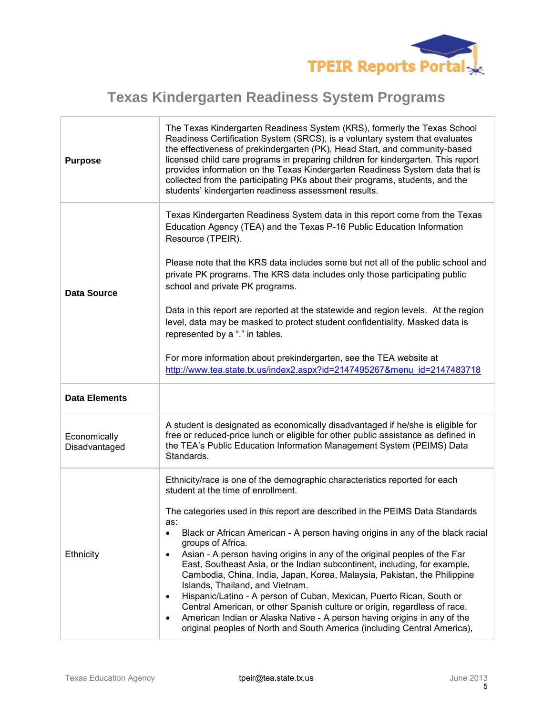

| <b>Purpose</b>                | The Texas Kindergarten Readiness System (KRS), formerly the Texas School<br>Readiness Certification System (SRCS), is a voluntary system that evaluates<br>the effectiveness of prekindergarten (PK), Head Start, and community-based<br>licensed child care programs in preparing children for kindergarten. This report<br>provides information on the Texas Kindergarten Readiness System data that is<br>collected from the participating PKs about their programs, students, and the<br>students' kindergarten readiness assessment results.                                                                                                                                                                                                                                                                                                                                                                                                        |
|-------------------------------|----------------------------------------------------------------------------------------------------------------------------------------------------------------------------------------------------------------------------------------------------------------------------------------------------------------------------------------------------------------------------------------------------------------------------------------------------------------------------------------------------------------------------------------------------------------------------------------------------------------------------------------------------------------------------------------------------------------------------------------------------------------------------------------------------------------------------------------------------------------------------------------------------------------------------------------------------------|
|                               | Texas Kindergarten Readiness System data in this report come from the Texas<br>Education Agency (TEA) and the Texas P-16 Public Education Information<br>Resource (TPEIR).<br>Please note that the KRS data includes some but not all of the public school and<br>private PK programs. The KRS data includes only those participating public<br>school and private PK programs.                                                                                                                                                                                                                                                                                                                                                                                                                                                                                                                                                                          |
| <b>Data Source</b>            | Data in this report are reported at the statewide and region levels. At the region<br>level, data may be masked to protect student confidentiality. Masked data is<br>represented by a "." in tables.<br>For more information about prekindergarten, see the TEA website at<br>http://www.tea.state.tx.us/index2.aspx?id=2147495267&menu id=2147483718                                                                                                                                                                                                                                                                                                                                                                                                                                                                                                                                                                                                   |
| <b>Data Elements</b>          |                                                                                                                                                                                                                                                                                                                                                                                                                                                                                                                                                                                                                                                                                                                                                                                                                                                                                                                                                          |
| Economically<br>Disadvantaged | A student is designated as economically disadvantaged if he/she is eligible for<br>free or reduced-price lunch or eligible for other public assistance as defined in<br>the TEA's Public Education Information Management System (PEIMS) Data<br>Standards.                                                                                                                                                                                                                                                                                                                                                                                                                                                                                                                                                                                                                                                                                              |
| Ethnicity                     | Ethnicity/race is one of the demographic characteristics reported for each<br>student at the time of enrollment.<br>The categories used in this report are described in the PEIMS Data Standards<br>as:<br>Black or African American - A person having origins in any of the black racial<br>$\bullet$<br>groups of Africa.<br>Asian - A person having origins in any of the original peoples of the Far<br>$\bullet$<br>East, Southeast Asia, or the Indian subcontinent, including, for example,<br>Cambodia, China, India, Japan, Korea, Malaysia, Pakistan, the Philippine<br>Islands, Thailand, and Vietnam.<br>Hispanic/Latino - A person of Cuban, Mexican, Puerto Rican, South or<br>$\bullet$<br>Central American, or other Spanish culture or origin, regardless of race.<br>American Indian or Alaska Native - A person having origins in any of the<br>$\bullet$<br>original peoples of North and South America (including Central America), |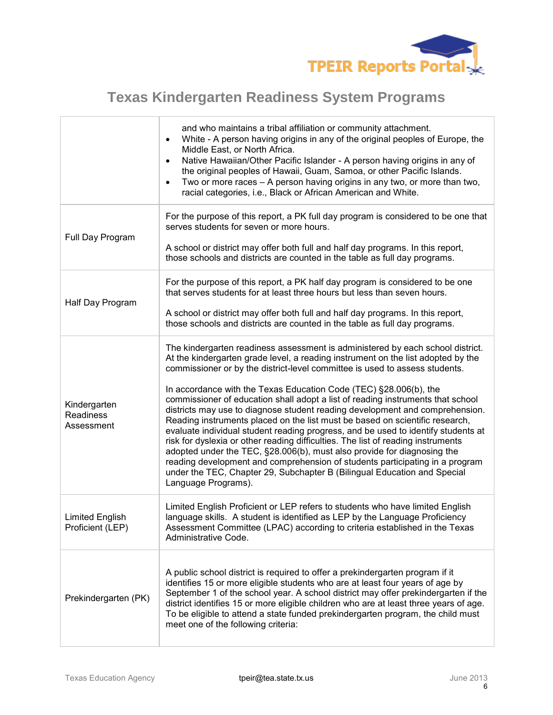

|                                            | and who maintains a tribal affiliation or community attachment.<br>White - A person having origins in any of the original peoples of Europe, the<br>$\bullet$<br>Middle East, or North Africa.<br>Native Hawaiian/Other Pacific Islander - A person having origins in any of<br>$\bullet$<br>the original peoples of Hawaii, Guam, Samoa, or other Pacific Islands.<br>Two or more races - A person having origins in any two, or more than two,<br>$\bullet$<br>racial categories, i.e., Black or African American and White.                                                                                                                                                                                                                                                                                                                                                                                                                                                                                   |
|--------------------------------------------|------------------------------------------------------------------------------------------------------------------------------------------------------------------------------------------------------------------------------------------------------------------------------------------------------------------------------------------------------------------------------------------------------------------------------------------------------------------------------------------------------------------------------------------------------------------------------------------------------------------------------------------------------------------------------------------------------------------------------------------------------------------------------------------------------------------------------------------------------------------------------------------------------------------------------------------------------------------------------------------------------------------|
| Full Day Program                           | For the purpose of this report, a PK full day program is considered to be one that<br>serves students for seven or more hours.<br>A school or district may offer both full and half day programs. In this report,<br>those schools and districts are counted in the table as full day programs.                                                                                                                                                                                                                                                                                                                                                                                                                                                                                                                                                                                                                                                                                                                  |
| Half Day Program                           | For the purpose of this report, a PK half day program is considered to be one<br>that serves students for at least three hours but less than seven hours.<br>A school or district may offer both full and half day programs. In this report,<br>those schools and districts are counted in the table as full day programs.                                                                                                                                                                                                                                                                                                                                                                                                                                                                                                                                                                                                                                                                                       |
| Kindergarten<br>Readiness<br>Assessment    | The kindergarten readiness assessment is administered by each school district.<br>At the kindergarten grade level, a reading instrument on the list adopted by the<br>commissioner or by the district-level committee is used to assess students.<br>In accordance with the Texas Education Code (TEC) §28.006(b), the<br>commissioner of education shall adopt a list of reading instruments that school<br>districts may use to diagnose student reading development and comprehension.<br>Reading instruments placed on the list must be based on scientific research,<br>evaluate individual student reading progress, and be used to identify students at<br>risk for dyslexia or other reading difficulties. The list of reading instruments<br>adopted under the TEC, §28.006(b), must also provide for diagnosing the<br>reading development and comprehension of students participating in a program<br>under the TEC, Chapter 29, Subchapter B (Bilingual Education and Special<br>Language Programs). |
| <b>Limited English</b><br>Proficient (LEP) | Limited English Proficient or LEP refers to students who have limited English<br>language skills. A student is identified as LEP by the Language Proficiency<br>Assessment Committee (LPAC) according to criteria established in the Texas<br>Administrative Code.                                                                                                                                                                                                                                                                                                                                                                                                                                                                                                                                                                                                                                                                                                                                               |
| Prekindergarten (PK)                       | A public school district is required to offer a prekindergarten program if it<br>identifies 15 or more eligible students who are at least four years of age by<br>September 1 of the school year. A school district may offer prekindergarten if the<br>district identifies 15 or more eligible children who are at least three years of age.<br>To be eligible to attend a state funded prekindergarten program, the child must<br>meet one of the following criteria:                                                                                                                                                                                                                                                                                                                                                                                                                                                                                                                                          |